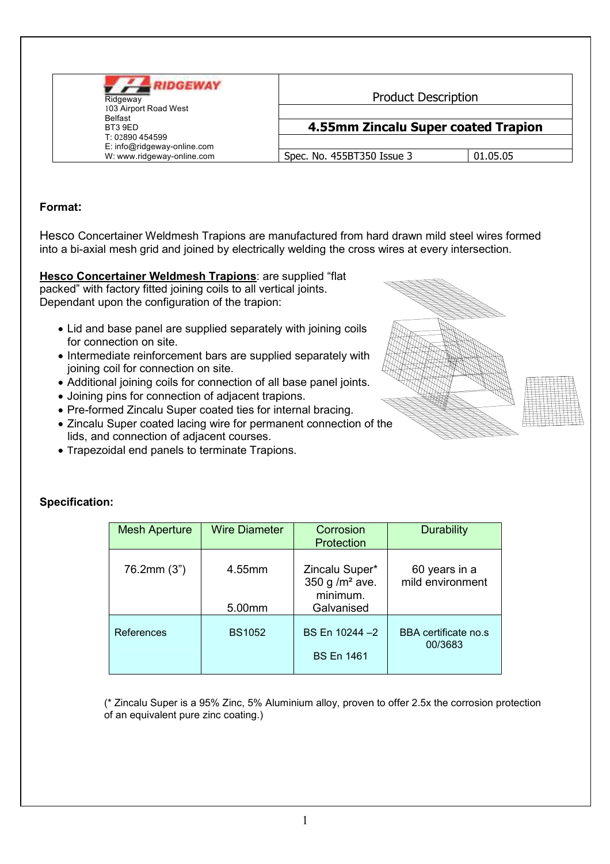| <b>UDGEWAY</b><br>Ridgeway<br>103 Airport Road West<br>Belfast<br>BT3 9ED<br>T: 02890454599 | <b>Product Description</b><br>4.55mm Zincalu Super coated Trapion |  |
|---------------------------------------------------------------------------------------------|-------------------------------------------------------------------|--|
|                                                                                             |                                                                   |  |

## Format:

Hesco Concertainer Weldmesh Trapions are manufactured from hard drawn mild steel wires formed into a bi-axial mesh grid and joined by electrically welding the cross wires at every intersection.

Hesco Concertainer Weldmesh Trapions: are supplied "flat packed" with factory fitted joining coils to all vertical joints. Dependant upon the configuration of the trapion:

- Lid and base panel are supplied separately with joining coils for connection on site.
- Intermediate reinforcement bars are supplied separately with joining coil for connection on site.
- Additional joining coils for connection of all base panel joints.
- Joining pins for connection of adjacent trapions.
- Pre-formed Zincalu Super coated ties for internal bracing.
- Zincalu Super coated lacing wire for permanent connection of the lids, and connection of adjacent courses.
- . Trapezoidal end panels to terminate Trapions.



| <b>Mesh Aperture</b> | <b>Wire Diameter</b> | Corrosion         | Durability           |
|----------------------|----------------------|-------------------|----------------------|
|                      |                      |                   |                      |
|                      |                      | Protection        |                      |
|                      |                      |                   |                      |
|                      |                      |                   |                      |
| 76.2mm (3")          | 4.55mm               | Zincalu Super*    | 60 years in a        |
|                      |                      | 350 g / $m2$ ave. | mild environment     |
|                      |                      | minimum.          |                      |
|                      |                      |                   |                      |
|                      | 5.00mm               | Galvanised        |                      |
|                      |                      |                   |                      |
|                      |                      |                   |                      |
| References           | <b>BS1052</b>        | BS En 10244 - 2   | BBA certificate no.s |
|                      |                      |                   | 00/3683              |
|                      |                      | <b>BS En 1461</b> |                      |
|                      |                      |                   |                      |
|                      |                      |                   |                      |

(\* Zincalu Super is a 95% Zinc, 5% Aluminium alloy, proven to offer 2.5x the corrosion protection of an equivalent pure zinc coating.)

## Specification: